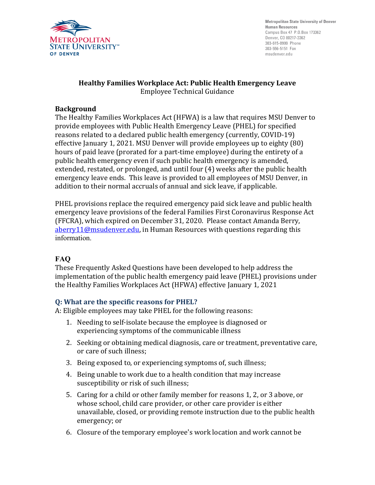

**Metropolitan State University of Denver Human Resources** Campus Box 47 P.O.Box 173362 Denver, CO 80217-3362 303-615-0999 Phone 303-556-5151 Fax msudenver.edu

#### **Healthy Families Workplace Act: Public Health Emergency Leave** Employee Technical Guidance

### **Background**

The Healthy Families Workplaces Act (HFWA) is a law that requires MSU Denver to provide employees with Public Health Emergency Leave (PHEL) for specified reasons related to a declared public health emergency (currently, COVID-19) effective January 1, 2021. MSU Denver will provide employees up to eighty (80) hours of paid leave (prorated for a part-time employee) during the entirety of a public health emergency even if such public health emergency is amended, extended, restated, or prolonged, and until four (4) weeks after the public health emergency leave ends. This leave is provided to all employees of MSU Denver, in addition to their normal accruals of annual and sick leave, if applicable.

PHEL provisions replace the required emergency paid sick leave and public health emergency leave provisions of the federal Families First Coronavirus Response Act (FFCRA), which expired on December 31, 2020. Please contact Amanda Berry, [aberry11@msudenver.edu,](mailto:aberry11@msudenver.edu) in Human Resources with questions regarding this information.

# **FAQ**

These Frequently Asked Questions have been developed to help address the implementation of the public health emergency paid leave (PHEL) provisions under the Healthy Families Workplaces Act (HFWA) effective January 1, 2021

### **Q: What are the specific reasons for PHEL?**

A: Eligible employees may take PHEL for the following reasons:

- 1. Needing to self-isolate because the employee is diagnosed or experiencing symptoms of the communicable illness
- 2. Seeking or obtaining medical diagnosis, care or treatment, preventative care, or care of such illness;
- 3. Being exposed to, or experiencing symptoms of, such illness;
- 4. Being unable to work due to a health condition that may increase susceptibility or risk of such illness;
- 5. Caring for a child or other family member for reasons 1, 2, or 3 above, or whose school, child care provider, or other care provider is either unavailable, closed, or providing remote instruction due to the public health emergency; or
- 6. Closure of the temporary employee's work location and work cannot be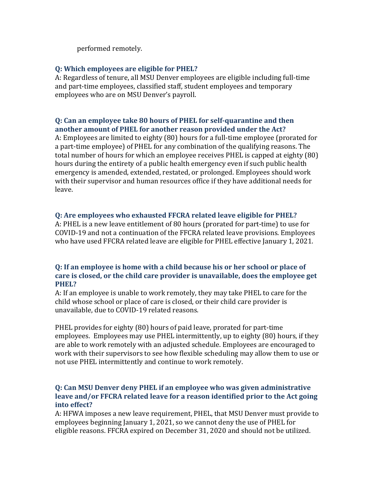performed remotely.

## **Q: Which employees are eligible for PHEL?**

A: Regardless of tenure, all MSU Denver employees are eligible including full-time and part-time employees, classified staff, student employees and temporary employees who are on MSU Denver's payroll.

### **Q: Can an employee take 80 hours of PHEL for self-quarantine and then another amount of PHEL for another reason provided under the Act?**

A: Employees are limited to eighty (80) hours for a full-time employee (prorated for a part-time employee) of PHEL for any combination of the qualifying reasons. The total number of hours for which an employee receives PHEL is capped at eighty (80) hours during the entirety of a public health emergency even if such public health emergency is amended, extended, restated, or prolonged. Employees should work with their supervisor and human resources office if they have additional needs for leave.

# **Q: Are employees who exhausted FFCRA related leave eligible for PHEL?**

A: PHEL is a new leave entitlement of 80 hours (prorated for part-time) to use for COVID-19 and not a continuation of the FFCRA related leave provisions. Employees who have used FFCRA related leave are eligible for PHEL effective January 1, 2021.

# **Q: If an employee is home with a child because his or her school or place of care is closed, or the child care provider is unavailable, does the employee get PHEL?**

A: If an employee is unable to work remotely, they may take PHEL to care for the child whose school or place of care is closed, or their child care provider is unavailable, due to COVID-19 related reasons.

PHEL provides for eighty (80) hours of paid leave, prorated for part-time employees. Employees may use PHEL intermittently, up to eighty (80) hours, if they are able to work remotely with an adjusted schedule. Employees are encouraged to work with their supervisors to see how flexible scheduling may allow them to use or not use PHEL intermittently and continue to work remotely.

# **Q: Can MSU Denver deny PHEL if an employee who was given administrative leave and/or FFCRA related leave for a reason identified prior to the Act going into effect?**

A: HFWA imposes a new leave requirement, PHEL, that MSU Denver must provide to employees beginning January 1, 2021, so we cannot deny the use of PHEL for eligible reasons. FFCRA expired on December 31, 2020 and should not be utilized.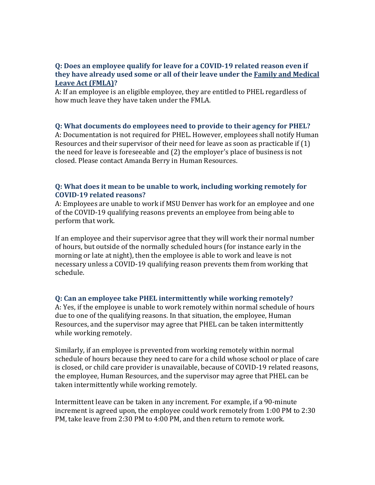### **Q: Does an employee qualify for leave for a COVID-19 related reason even if they have already used some or all of their leave under the [Family and Medical](https://dhr.colorado.gov/state-employees/time-off-leave/family-medical-leave-act-fmla)  [Leave Act \(FMLA\)?](https://dhr.colorado.gov/state-employees/time-off-leave/family-medical-leave-act-fmla)**

A: If an employee is an eligible employee, they are entitled to PHEL regardless of how much leave they have taken under the FMLA.

#### **Q: What documents do employees need to provide to their agency for PHEL?**

A: Documentation is not required for PHEL. However, employees shall notify Human Resources and their supervisor of their need for leave as soon as practicable if (1) the need for leave is foreseeable and (2) the employer's place of business is not closed. Please contact Amanda Berry in Human Resources.

### **Q: What does it mean to be unable to work, including working remotely for COVID-19 related reasons?**

A: Employees are unable to work if MSU Denver has work for an employee and one of the COVID-19 qualifying reasons prevents an employee from being able to perform that work.

If an employee and their supervisor agree that they will work their normal number of hours, but outside of the normally scheduled hours (for instance early in the morning or late at night), then the employee is able to work and leave is not necessary unless a COVID-19 qualifying reason prevents them from working that schedule.

### **Q: Can an employee take PHEL intermittently while working remotely?**

A: Yes, if the employee is unable to work remotely within normal schedule of hours due to one of the qualifying reasons. In that situation, the employee, Human Resources, and the supervisor may agree that PHEL can be taken intermittently while working remotely.

Similarly, if an employee is prevented from working remotely within normal schedule of hours because they need to care for a child whose school or place of care is closed, or child care provider is unavailable, because of COVID-19 related reasons, the employee, Human Resources, and the supervisor may agree that PHEL can be taken intermittently while working remotely.

Intermittent leave can be taken in any increment. For example, if a 90-minute increment is agreed upon, the employee could work remotely from 1:00 PM to 2:30 PM, take leave from 2:30 PM to 4:00 PM, and then return to remote work.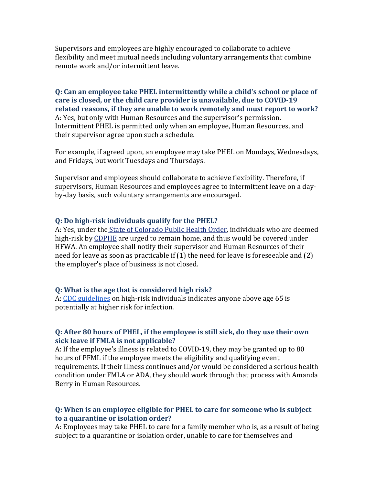Supervisors and employees are highly encouraged to collaborate to achieve flexibility and meet mutual needs including voluntary arrangements that combine remote work and/or intermittent leave.

**Q: Can an employee take PHEL intermittently while a child's school or place of care is closed, or the child care provider is unavailable, due to COVID-19 related reasons, if they are unable to work remotely and must report to work?** A: Yes, but only with Human Resources and the supervisor's permission. Intermittent PHEL is permitted only when an employee, Human Resources, and their supervisor agree upon such a schedule.

For example, if agreed upon, an employee may take PHEL on Mondays, Wednesdays, and Fridays, but work Tuesdays and Thursdays.

Supervisor and employees should collaborate to achieve flexibility. Therefore, if supervisors, Human Resources and employees agree to intermittent leave on a dayby-day basis, such voluntary arrangements are encouraged.

#### **Q: Do high-risk individuals qualify for the PHEL?**

A: Yes, under the [State of Colorado Public Health Order,](https://sjbpublichealth.org/wp-content/uploads/2020/03/Public_Health_Order_20-20_3-25-20.pdf) individuals who are deemed high-risk by [CDPHE](https://covid19.colorado.gov/resources-for-older-adults-and-their-families) are urged to remain home, and thus would be covered under HFWA. An employee shall notify their supervisor and Human Resources of their need for leave as soon as practicable if (1) the need for leave is foreseeable and (2) the employer's place of business is not closed.

#### **Q: What is the age that is considered high risk?**

A: [CDC guidelines](https://www.cdc.gov/coronavirus/2019-ncov/need-extra-precautions/index.html) on high-risk individuals indicates anyone above age 65 is potentially at higher risk for infection.

#### **Q: After 80 hours of PHEL, if the employee is still sick, do they use their own sick leave if FMLA is not applicable?**

A: If the employee's illness is related to COVID-19, they may be granted up to 80 hours of PFML if the employee meets the eligibility and qualifying event requirements. If their illness continues and/or would be considered a serious health condition under FMLA or ADA, they should work through that process with Amanda Berry in Human Resources.

### **Q: When is an employee eligible for PHEL to care for someone who is subject to a quarantine or isolation order?**

A: Employees may take PHEL to care for a family member who is, as a result of being subject to a quarantine or isolation order, unable to care for themselves and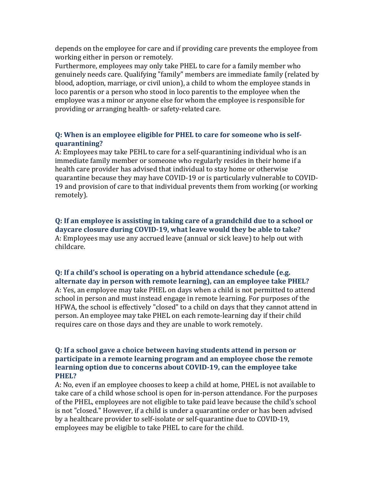depends on the employee for care and if providing care prevents the employee from working either in person or remotely.

Furthermore, employees may only take PHEL to care for a family member who genuinely needs care. Qualifying "family" members are immediate family (related by blood, adoption, marriage, or civil union), a child to whom the employee stands in loco parentis or a person who stood in loco parentis to the employee when the employee was a minor or anyone else for whom the employee is responsible for providing or arranging health- or safety-related care.

## **Q: When is an employee eligible for PHEL to care for someone who is selfquarantining?**

A: Employees may take PEHL to care for a self-quarantining individual who is an immediate family member or someone who regularly resides in their home if a health care provider has advised that individual to stay home or otherwise quarantine because they may have COVID-19 or is particularly vulnerable to COVID-19 and provision of care to that individual prevents them from working (or working remotely).

**Q: If an employee is assisting in taking care of a grandchild due to a school or daycare closure during COVID-19, what leave would they be able to take?** A: Employees may use any accrued leave (annual or sick leave) to help out with childcare.

#### **Q: If a child's school is operating on a hybrid attendance schedule (e.g. alternate day in person with remote learning), can an employee take PHEL?**

A: Yes, an employee may take PHEL on days when a child is not permitted to attend school in person and must instead engage in remote learning. For purposes of the HFWA, the school is effectively "closed" to a child on days that they cannot attend in person. An employee may take PHEL on each remote-learning day if their child requires care on those days and they are unable to work remotely.

### **Q: If a school gave a choice between having students attend in person or participate in a remote learning program and an employee chose the remote learning option due to concerns about COVID-19, can the employee take PHEL?**

A: No, even if an employee chooses to keep a child at home, PHEL is not available to take care of a child whose school is open for in-person attendance. For the purposes of the PHEL, employees are not eligible to take paid leave because the child's school is not "closed." However, if a child is under a quarantine order or has been advised by a healthcare provider to self-isolate or self-quarantine due to COVID-19, employees may be eligible to take PHEL to care for the child.